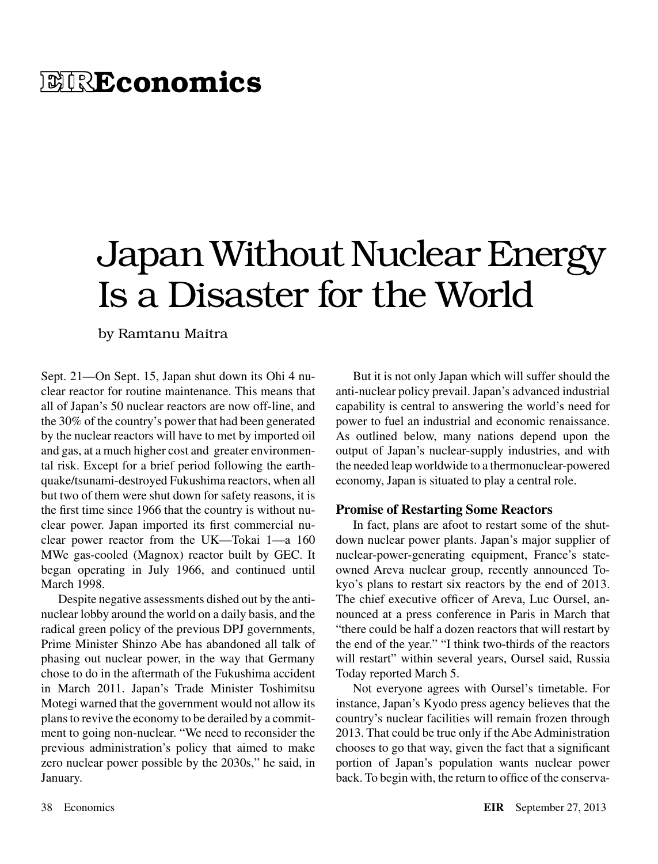# 网R**Economics**

# Japan Without Nuclear Energy Is a Disaster for the World

by Ramtanu Maitra

Sept. 21—On Sept. 15, Japan shut down its Ohi 4 nuclear reactor for routine maintenance. This means that all of Japan's 50 nuclear reactors are now off-line, and the 30% of the country's power that had been generated by the nuclear reactors will have to met by imported oil and gas, at a much higher cost and greater environmental risk. Except for a brief period following the earthquake/tsunami-destroyed Fukushima reactors, when all but two of them were shut down for safety reasons, it is the first time since 1966 that the country is without nuclear power. Japan imported its first commercial nuclear power reactor from the UK—Tokai 1—a 160 MWe gas-cooled (Magnox) reactor built by GEC. It began operating in July 1966, and continued until March 1998.

Despite negative assessments dished out by the antinuclear lobby around the world on a daily basis, and the radical green policy of the previous DPJ governments, Prime Minister Shinzo Abe has abandoned all talk of phasing out nuclear power, in the way that Germany chose to do in the aftermath of the Fukushima accident in March 2011. Japan's Trade Minister Toshimitsu Motegi warned that the government would not allow its plans to revive the economy to be derailed by a commitment to going non-nuclear. "We need to reconsider the previous administration's policy that aimed to make zero nuclear power possible by the 2030s," he said, in January.

But it is not only Japan which will suffer should the anti-nuclear policy prevail. Japan's advanced industrial capability is central to answering the world's need for power to fuel an industrial and economic renaissance. As outlined below, many nations depend upon the output of Japan's nuclear-supply industries, and with the needed leap worldwide to a thermonuclear-powered economy, Japan is situated to play a central role.

## **Promise of Restarting Some Reactors**

In fact, plans are afoot to restart some of the shutdown nuclear power plants. Japan's major supplier of nuclear-power-generating equipment, France's stateowned Areva nuclear group, recently announced Tokyo's plans to restart six reactors by the end of 2013. The chief executive officer of Areva, Luc Oursel, announced at a press conference in Paris in March that "there could be half a dozen reactors that will restart by the end of the year." "I think two-thirds of the reactors will restart" within several years, Oursel said, Russia Today reported March 5.

Not everyone agrees with Oursel's timetable. For instance, Japan's Kyodo press agency believes that the country's nuclear facilities will remain frozen through 2013. That could be true only if the Abe Administration chooses to go that way, given the fact that a significant portion of Japan's population wants nuclear power back. To begin with, the return to office of the conserva-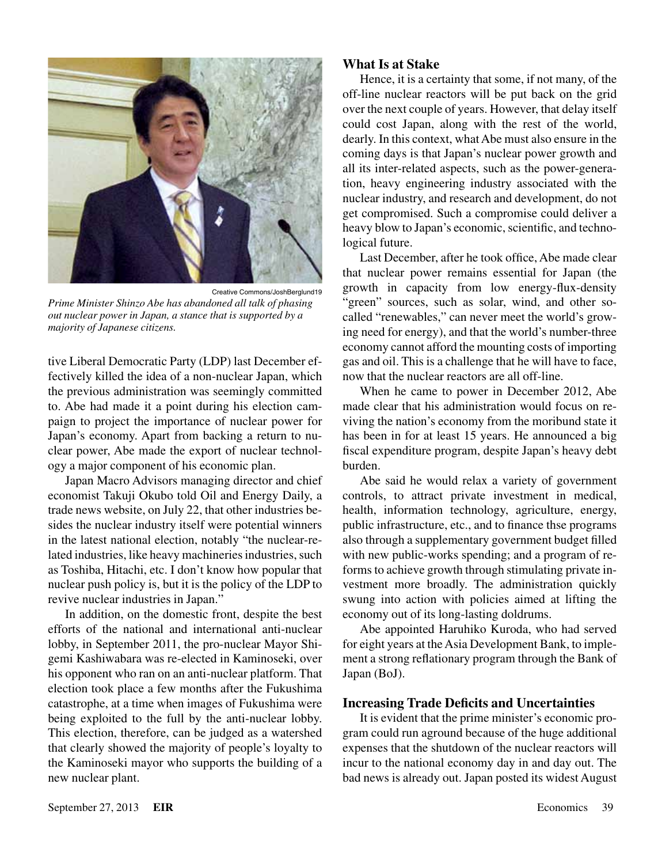

Creative Commons/JoshBerglund19 *Prime Minister Shinzo Abe has abandoned all talk of phasing out nuclear power in Japan, a stance that is supported by a majority of Japanese citizens.*

tive Liberal Democratic Party (LDP) last December effectively killed the idea of a non-nuclear Japan, which the previous administration was seemingly committed to. Abe had made it a point during his election campaign to project the importance of nuclear power for Japan's economy. Apart from backing a return to nuclear power, Abe made the export of nuclear technology a major component of his economic plan.

Japan Macro Advisors managing director and chief economist Takuji Okubo told Oil and Energy Daily, a trade news website, on July 22, that other industries besides the nuclear industry itself were potential winners in the latest national election, notably "the nuclear-related industries, like heavy machineries industries, such as Toshiba, Hitachi, etc. I don't know how popular that nuclear push policy is, but it is the policy of the LDP to revive nuclear industries in Japan."

In addition, on the domestic front, despite the best efforts of the national and international anti-nuclear lobby, in September 2011, the pro-nuclear Mayor Shigemi Kashiwabara was re-elected in Kaminoseki, over his opponent who ran on an anti-nuclear platform. That election took place a few months after the Fukushima catastrophe, at a time when images of Fukushima were being exploited to the full by the anti-nuclear lobby. This election, therefore, can be judged as a watershed that clearly showed the majority of people's loyalty to the Kaminoseki mayor who supports the building of a new nuclear plant.

## **What Is at Stake**

Hence, it is a certainty that some, if not many, of the off-line nuclear reactors will be put back on the grid over the next couple of years. However, that delay itself could cost Japan, along with the rest of the world, dearly. In this context, what Abe must also ensure in the coming days is that Japan's nuclear power growth and all its inter-related aspects, such as the power-generation, heavy engineering industry associated with the nuclear industry, and research and development, do not get compromised. Such a compromise could deliver a heavy blow to Japan's economic, scientific, and technological future.

Last December, after he took office, Abe made clear that nuclear power remains essential for Japan (the growth in capacity from low energy-flux-density "green" sources, such as solar, wind, and other socalled "renewables," can never meet the world's growing need for energy), and that the world's number-three economy cannot afford the mounting costs of importing gas and oil. This is a challenge that he will have to face, now that the nuclear reactors are all off-line.

When he came to power in December 2012, Abe made clear that his administration would focus on reviving the nation's economy from the moribund state it has been in for at least 15 years. He announced a big fiscal expenditure program, despite Japan's heavy debt burden.

Abe said he would relax a variety of government controls, to attract private investment in medical, health, information technology, agriculture, energy, public infrastructure, etc., and to finance thse programs also through a supplementary government budget filled with new public-works spending; and a program of reforms to achieve growth through stimulating private investment more broadly. The administration quickly swung into action with policies aimed at lifting the economy out of its long-lasting doldrums.

Abe appointed Haruhiko Kuroda, who had served for eight years at the Asia Development Bank, to implement a strong reflationary program through the Bank of Japan (BoJ).

#### **Increasing Trade Deficits and Uncertainties**

It is evident that the prime minister's economic program could run aground because of the huge additional expenses that the shutdown of the nuclear reactors will incur to the national economy day in and day out. The bad news is already out. Japan posted its widest August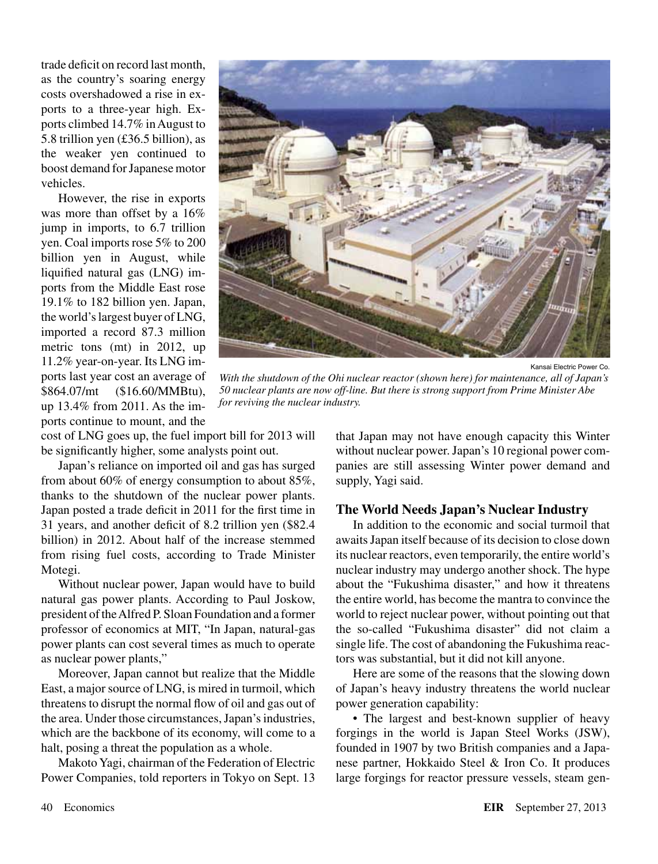trade deficit on record last month, as the country's soaring energy costs overshadowed a rise in exports to a three-year high. Exports climbed 14.7% in August to 5.8 trillion yen (£36.5 billion), as the weaker yen continued to boost demand for Japanese motor vehicles.

However, the rise in exports was more than offset by a  $16\%$ jump in imports, to 6.7 trillion yen. Coal imports rose 5% to 200 billion yen in August, while liquified natural gas (LNG) imports from the Middle East rose 19.1% to 182 billion yen. Japan, the world's largest buyer of LNG, imported a record 87.3 million metric tons (mt) in 2012, up 11.2% year-on-year. Its LNG imports last year cost an average of \$864.07/mt (\$16.60/MMBtu), up 13.4% from 2011. As the imports continue to mount, and the



Kansai Electric Power Co.

*With the shutdown of the Ohi nuclear reactor (shown here) for maintenance, all of Japan's 50 nuclear plants are now off-line. But there is strong support from Prime Minister Abe for reviving the nuclear industry.*

cost of LNG goes up, the fuel import bill for 2013 will be significantly higher, some analysts point out.

Japan's reliance on imported oil and gas has surged from about 60% of energy consumption to about 85%, thanks to the shutdown of the nuclear power plants. Japan posted a trade deficit in 2011 for the first time in 31 years, and another deficit of 8.2 trillion yen (\$82.4 billion) in 2012. About half of the increase stemmed from rising fuel costs, according to Trade Minister Motegi.

Without nuclear power, Japan would have to build natural gas power plants. According to Paul Joskow, president of the Alfred P. Sloan Foundation and a former professor of economics at MIT, "In Japan, natural-gas power plants can cost several times as much to operate as nuclear power plants,"

Moreover, Japan cannot but realize that the Middle East, a major source of LNG, is mired in turmoil, which threatens to disrupt the normal flow of oil and gas out of the area. Under those circumstances, Japan's industries, which are the backbone of its economy, will come to a halt, posing a threat the population as a whole.

Makoto Yagi, chairman of the Federation of Electric Power Companies, told reporters in Tokyo on Sept. 13 that Japan may not have enough capacity this Winter without nuclear power. Japan's 10 regional power companies are still assessing Winter power demand and supply, Yagi said.

#### **The World Needs Japan's Nuclear Industry**

In addition to the economic and social turmoil that awaits Japan itself because of its decision to close down its nuclear reactors, even temporarily, the entire world's nuclear industry may undergo another shock. The hype about the "Fukushima disaster," and how it threatens the entire world, has become the mantra to convince the world to reject nuclear power, without pointing out that the so-called "Fukushima disaster" did not claim a single life. The cost of abandoning the Fukushima reactors was substantial, but it did not kill anyone.

Here are some of the reasons that the slowing down of Japan's heavy industry threatens the world nuclear power generation capability:

• The largest and best-known supplier of heavy forgings in the world is Japan Steel Works (JSW), founded in 1907 by two British companies and a Japanese partner, Hokkaido Steel & Iron Co. It produces large forgings for reactor pressure vessels, steam gen